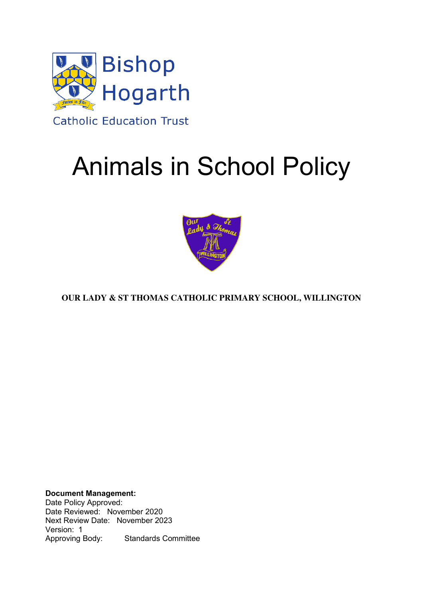

# Animals in School Policy



**OUR LADY & ST THOMAS CATHOLIC PRIMARY SCHOOL, WILLINGTON** 

**Document Management:** Date Policy Approved: Date Reviewed: November 2020 Next Review Date: November 2023 Version: 1 Approving Body: Standards Committee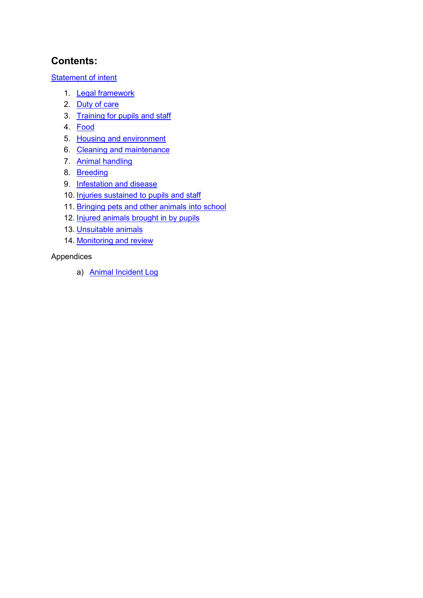### **Contents:**

[Statement of intent](#page-2-0) 

- 1. [Legal framework](#page-2-1)
- 2. [Duty of care](#page-2-2)
- 3. [Training for pupils and staff](#page-3-0)
- 4. [Food](#page-3-1)
- 5. [Housing and environment](#page-4-0)
- 6. [Cleaning and maintenance](#page-5-0)
- 7. [Animal](#page-6-0) handling
- 8. [Breeding](#page-7-0)
- 9. [Infestation and disease](#page-7-1)
- 10. Injuries sustained to pupils and staff
- 11. [Bringing pets and other animals into school](#page-8-1)
- 12. [Injured animals brought in by pupils](#page-8-2)
- 13. Unsuitable animals
- 14. Monitoring and review

#### Appendices

a) [Animal Incident Log](#page-9-0)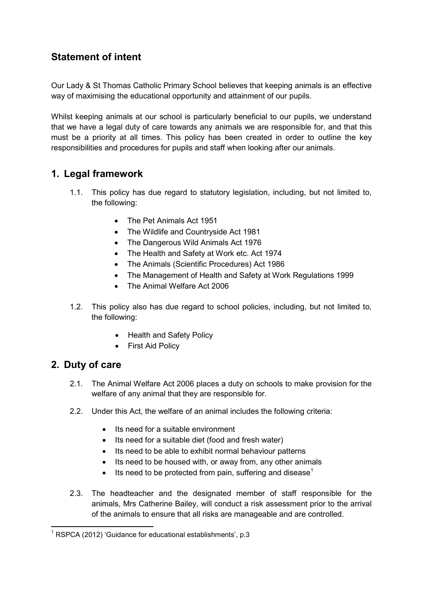### <span id="page-2-0"></span>**Statement of intent**

Our Lady & St Thomas Catholic Primary School believes that keeping animals is an effective way of maximising the educational opportunity and attainment of our pupils.

Whilst keeping animals at our school is particularly beneficial to our pupils, we understand that we have a legal duty of care towards any animals we are responsible for, and that this must be a priority at all times. This policy has been created in order to outline the key responsibilities and procedures for pupils and staff when looking after our animals.

#### <span id="page-2-1"></span>**1. Legal framework**

- 1.1. This policy has due regard to statutory legislation, including, but not limited to, the following:
	- The Pet Animals Act 1951
	- The Wildlife and Countryside Act 1981
	- The Dangerous Wild Animals Act 1976
	- The Health and Safety at Work etc. Act 1974
	- The Animals (Scientific Procedures) Act 1986
	- The Management of Health and Safety at Work Regulations 1999
	- The Animal Welfare Act 2006
- 1.2. This policy also has due regard to school policies, including, but not limited to, the following:
	- Health and Safety Policy
	- First Aid Policy

#### <span id="page-2-2"></span>**2. Duty of care**

 $\overline{a}$ 

- 2.1. The Animal Welfare Act 2006 places a duty on schools to make provision for the welfare of any animal that they are responsible for.
- 2.2. Under this Act, the welfare of an animal includes the following criteria:
	- $\bullet$  Its need for a suitable environment
	- Its need for a suitable diet (food and fresh water)
	- Its need to be able to exhibit normal behaviour patterns
	- Its need to be housed with, or away from, any other animals
	- $\bullet$  Its need to be protected from pain, suffering and disease<sup>1</sup>
- 2.3. The headteacher and the designated member of staff responsible for the animals, Mrs Catherine Bailey, will conduct a risk assessment prior to the arrival of the animals to ensure that all risks are manageable and are controlled.

 $1$  RSPCA (2012) 'Guidance for educational establishments', p.3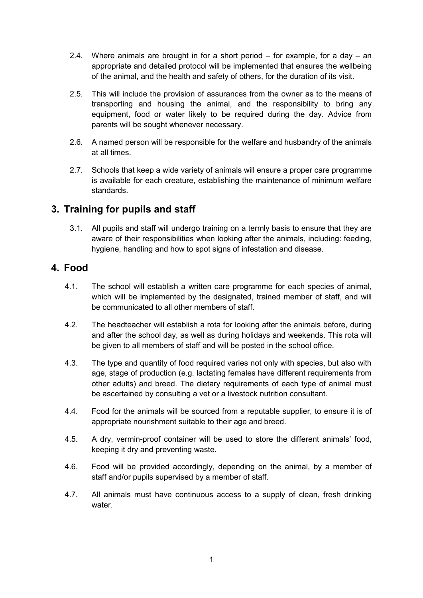- 2.4. Where animals are brought in for a short period  $-$  for example, for a day  $-$  an appropriate and detailed protocol will be implemented that ensures the wellbeing of the animal, and the health and safety of others, for the duration of its visit.
- 2.5. This will include the provision of assurances from the owner as to the means of transporting and housing the animal, and the responsibility to bring any equipment, food or water likely to be required during the day. Advice from parents will be sought whenever necessary.
- 2.6. A named person will be responsible for the welfare and husbandry of the animals at all times.
- 2.7. Schools that keep a wide variety of animals will ensure a proper care programme is available for each creature, establishing the maintenance of minimum welfare standards.

#### <span id="page-3-0"></span>**3. Training for pupils and staff**

3.1. All pupils and staff will undergo training on a termly basis to ensure that they are aware of their responsibilities when looking after the animals, including: feeding, hygiene, handling and how to spot signs of infestation and disease.

#### <span id="page-3-1"></span>**4. Food**

- 4.1. The school will establish a written care programme for each species of animal, which will be implemented by the designated, trained member of staff, and will be communicated to all other members of staff.
- 4.2. The headteacher will establish a rota for looking after the animals before, during and after the school day, as well as during holidays and weekends. This rota will be given to all members of staff and will be posted in the school office.
- 4.3. The type and quantity of food required varies not only with species, but also with age, stage of production (e.g. lactating females have different requirements from other adults) and breed. The dietary requirements of each type of animal must be ascertained by consulting a vet or a livestock nutrition consultant.
- 4.4. Food for the animals will be sourced from a reputable supplier, to ensure it is of appropriate nourishment suitable to their age and breed.
- 4.5. A dry, vermin-proof container will be used to store the different animals' food, keeping it dry and preventing waste.
- 4.6. Food will be provided accordingly, depending on the animal, by a member of staff and/or pupils supervised by a member of staff.
- 4.7. All animals must have continuous access to a supply of clean, fresh drinking water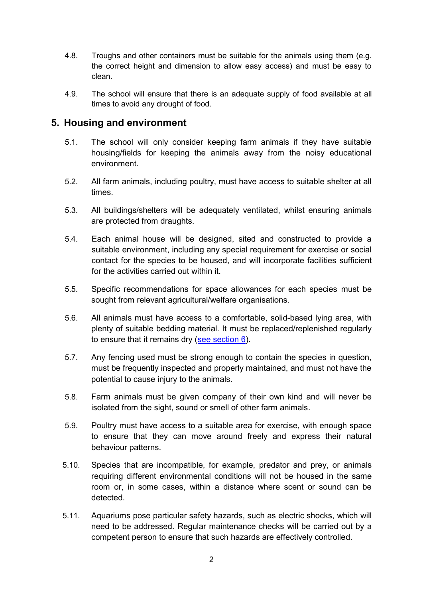- 4.8. Troughs and other containers must be suitable for the animals using them (e.g. the correct height and dimension to allow easy access) and must be easy to clean.
- 4.9. The school will ensure that there is an adequate supply of food available at all times to avoid any drought of food.

#### <span id="page-4-0"></span>**5. Housing and environment**

- 5.1. The school will only consider keeping farm animals if they have suitable housing/fields for keeping the animals away from the noisy educational environment.
- 5.2. All farm animals, including poultry, must have access to suitable shelter at all times.
- 5.3. All buildings/shelters will be adequately ventilated, whilst ensuring animals are protected from draughts.
- 5.4. Each animal house will be designed, sited and constructed to provide a suitable environment, including any special requirement for exercise or social contact for the species to be housed, and will incorporate facilities sufficient for the activities carried out within it.
- 5.5. Specific recommendations for space allowances for each species must be sought from relevant agricultural/welfare organisations.
- 5.6. All animals must have access to a comfortable, solid-based lying area, with plenty of suitable bedding material. It must be replaced/replenished regularly to ensure that it remains dry [\(see section 6\)](#page-5-0).
- 5.7. Any fencing used must be strong enough to contain the species in question, must be frequently inspected and properly maintained, and must not have the potential to cause injury to the animals.
- 5.8. Farm animals must be given company of their own kind and will never be isolated from the sight, sound or smell of other farm animals.
- 5.9. Poultry must have access to a suitable area for exercise, with enough space to ensure that they can move around freely and express their natural behaviour patterns.
- 5.10. Species that are incompatible, for example, predator and prey, or animals requiring different environmental conditions will not be housed in the same room or, in some cases, within a distance where scent or sound can be detected.
- 5.11. Aquariums pose particular safety hazards, such as electric shocks, which will need to be addressed. Regular maintenance checks will be carried out by a competent person to ensure that such hazards are effectively controlled.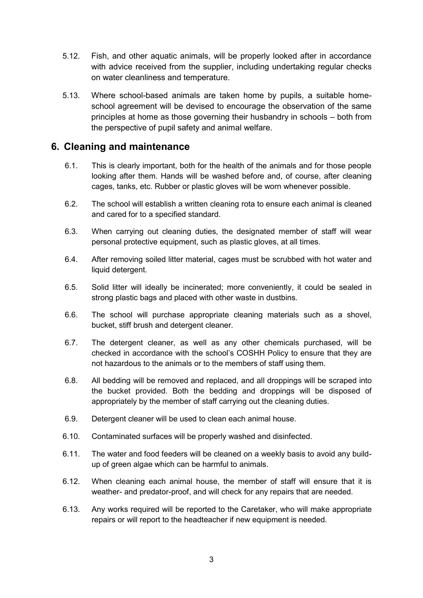- 5.12. Fish, and other aquatic animals, will be properly looked after in accordance with advice received from the supplier, including undertaking regular checks on water cleanliness and temperature.
- 5.13. Where school-based animals are taken home by pupils, a suitable homeschool agreement will be devised to encourage the observation of the same principles at home as those governing their husbandry in schools – both from the perspective of pupil safety and animal welfare.

#### <span id="page-5-0"></span>**6. Cleaning and maintenance**

- 6.1. This is clearly important, both for the health of the animals and for those people looking after them. Hands will be washed before and, of course, after cleaning cages, tanks, etc. Rubber or plastic gloves will be worn whenever possible.
- 6.2. The school will establish a written cleaning rota to ensure each animal is cleaned and cared for to a specified standard.
- 6.3. When carrying out cleaning duties, the designated member of staff will wear personal protective equipment, such as plastic gloves, at all times.
- 6.4. After removing soiled litter material, cages must be scrubbed with hot water and liquid detergent.
- 6.5. Solid litter will ideally be incinerated; more conveniently, it could be sealed in strong plastic bags and placed with other waste in dustbins.
- 6.6. The school will purchase appropriate cleaning materials such as a shovel, bucket, stiff brush and detergent cleaner.
- 6.7. The detergent cleaner, as well as any other chemicals purchased, will be checked in accordance with the school's COSHH Policy to ensure that they are not hazardous to the animals or to the members of staff using them.
- 6.8. All bedding will be removed and replaced, and all droppings will be scraped into the bucket provided. Both the bedding and droppings will be disposed of appropriately by the member of staff carrying out the cleaning duties.
- 6.9. Detergent cleaner will be used to clean each animal house.
- 6.10. Contaminated surfaces will be properly washed and disinfected.
- 6.11. The water and food feeders will be cleaned on a weekly basis to avoid any buildup of green algae which can be harmful to animals.
- 6.12. When cleaning each animal house, the member of staff will ensure that it is weather- and predator-proof, and will check for any repairs that are needed.
- 6.13. Any works required will be reported to the Caretaker, who will make appropriate repairs or will report to the headteacher if new equipment is needed.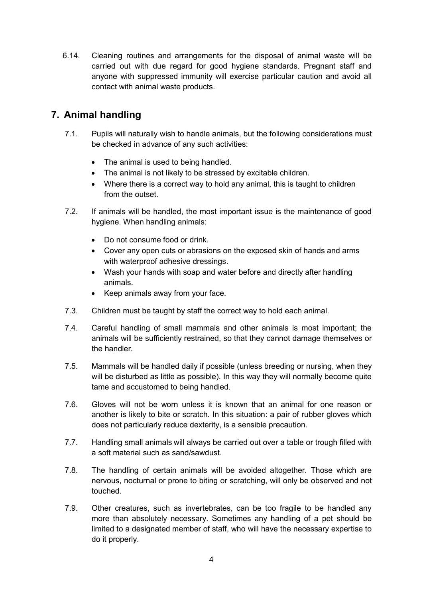6.14. Cleaning routines and arrangements for the disposal of animal waste will be carried out with due regard for good hygiene standards. Pregnant staff and anyone with suppressed immunity will exercise particular caution and avoid all contact with animal waste products.

#### <span id="page-6-0"></span>**7. Animal handling**

- 7.1. Pupils will naturally wish to handle animals, but the following considerations must be checked in advance of any such activities:
	- The animal is used to being handled.
	- The animal is not likely to be stressed by excitable children.
	- Where there is a correct way to hold any animal, this is taught to children from the outset.
- 7.2. If animals will be handled, the most important issue is the maintenance of good hygiene. When handling animals:
	- Do not consume food or drink.
	- Cover any open cuts or abrasions on the exposed skin of hands and arms with waterproof adhesive dressings.
	- Wash your hands with soap and water before and directly after handling animals.
	- Keep animals away from your face.
- 7.3. Children must be taught by staff the correct way to hold each animal.
- 7.4. Careful handling of small mammals and other animals is most important; the animals will be sufficiently restrained, so that they cannot damage themselves or the handler.
- 7.5. Mammals will be handled daily if possible (unless breeding or nursing, when they will be disturbed as little as possible). In this way they will normally become quite tame and accustomed to being handled.
- 7.6. Gloves will not be worn unless it is known that an animal for one reason or another is likely to bite or scratch. In this situation: a pair of rubber gloves which does not particularly reduce dexterity, is a sensible precaution.
- 7.7. Handling small animals will always be carried out over a table or trough filled with a soft material such as sand/sawdust.
- 7.8. The handling of certain animals will be avoided altogether. Those which are nervous, nocturnal or prone to biting or scratching, will only be observed and not touched.
- 7.9. Other creatures, such as invertebrates, can be too fragile to be handled any more than absolutely necessary. Sometimes any handling of a pet should be limited to a designated member of staff, who will have the necessary expertise to do it properly.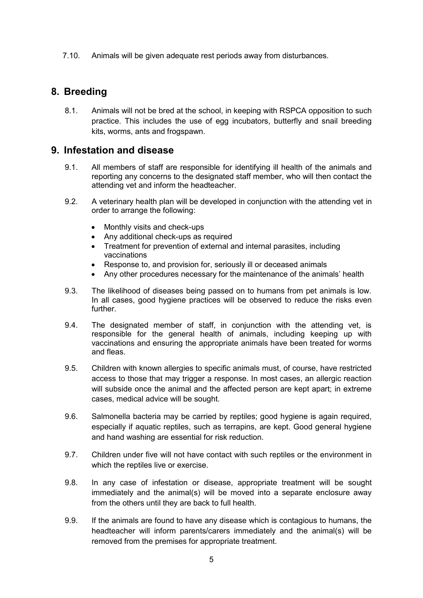7.10. Animals will be given adequate rest periods away from disturbances.

#### <span id="page-7-0"></span>**8. Breeding**

8.1. Animals will not be bred at the school, in keeping with RSPCA opposition to such practice. This includes the use of egg incubators, butterfly and snail breeding kits, worms, ants and frogspawn.

#### <span id="page-7-1"></span>**9. Infestation and disease**

- 9.1. All members of staff are responsible for identifying ill health of the animals and reporting any concerns to the designated staff member, who will then contact the attending vet and inform the headteacher.
- 9.2. A veterinary health plan will be developed in conjunction with the attending vet in order to arrange the following:
	- Monthly visits and check-ups
	- Any additional check-ups as required
	- Treatment for prevention of external and internal parasites, including vaccinations
	- Response to, and provision for, seriously ill or deceased animals
	- Any other procedures necessary for the maintenance of the animals' health
- 9.3. The likelihood of diseases being passed on to humans from pet animals is low. In all cases, good hygiene practices will be observed to reduce the risks even further.
- 9.4. The designated member of staff, in conjunction with the attending vet, is responsible for the general health of animals, including keeping up with vaccinations and ensuring the appropriate animals have been treated for worms and fleas.
- 9.5. Children with known allergies to specific animals must, of course, have restricted access to those that may trigger a response. In most cases, an allergic reaction will subside once the animal and the affected person are kept apart; in extreme cases, medical advice will be sought.
- 9.6. Salmonella bacteria may be carried by reptiles; good hygiene is again required, especially if aquatic reptiles, such as terrapins, are kept. Good general hygiene and hand washing are essential for risk reduction.
- 9.7. Children under five will not have contact with such reptiles or the environment in which the reptiles live or exercise.
- 9.8. In any case of infestation or disease, appropriate treatment will be sought immediately and the animal(s) will be moved into a separate enclosure away from the others until they are back to full health.
- 9.9. If the animals are found to have any disease which is contagious to humans, the headteacher will inform parents/carers immediately and the animal(s) will be removed from the premises for appropriate treatment.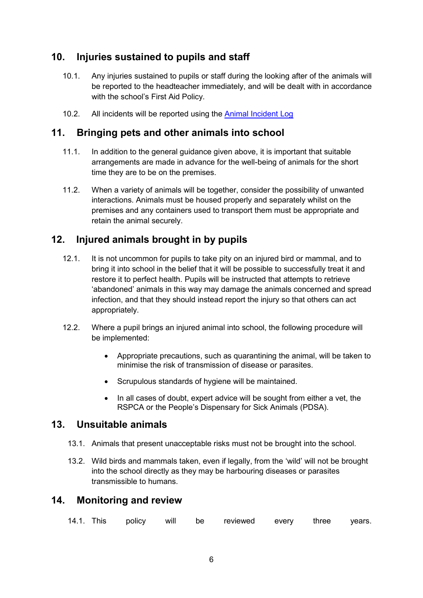#### <span id="page-8-0"></span>**10. Injuries sustained to pupils and staff**

- 10.1. Any injuries sustained to pupils or staff during the looking after of the animals will be reported to the headteacher immediately, and will be dealt with in accordance with the school's First Aid Policy.
- 10.2. All incidents will be reported using the Animal Incident Log

#### <span id="page-8-1"></span>**11. Bringing pets and other animals into school**

- 11.1. In addition to the general guidance given above, it is important that suitable arrangements are made in advance for the well-being of animals for the short time they are to be on the premises.
- 11.2. When a variety of animals will be together, consider the possibility of unwanted interactions. Animals must be housed properly and separately whilst on the premises and any containers used to transport them must be appropriate and retain the animal securely.

#### <span id="page-8-2"></span>**12. Injured animals brought in by pupils**

- 12.1. It is not uncommon for pupils to take pity on an injured bird or mammal, and to bring it into school in the belief that it will be possible to successfully treat it and restore it to perfect health. Pupils will be instructed that attempts to retrieve 'abandoned' animals in this way may damage the animals concerned and spread infection, and that they should instead report the injury so that others can act appropriately.
- 12.2. Where a pupil brings an injured animal into school, the following procedure will be implemented:
	- Appropriate precautions, such as quarantining the animal, will be taken to minimise the risk of transmission of disease or parasites.
	- Scrupulous standards of hygiene will be maintained.
	- In all cases of doubt, expert advice will be sought from either a vet, the RSPCA or the People's Dispensary for Sick Animals (PDSA).

#### <span id="page-8-3"></span>**13. Unsuitable animals**

- 13.1. Animals that present unacceptable risks must not be brought into the school.
- 13.2. Wild birds and mammals taken, even if legally, from the 'wild' will not be brought into the school directly as they may be harbouring diseases or parasites transmissible to humans.

#### <span id="page-8-4"></span>**14. Monitoring and review**

|  |  |  |  | 14.1. This policy will be reviewed every three years. |  |  |  |
|--|--|--|--|-------------------------------------------------------|--|--|--|
|--|--|--|--|-------------------------------------------------------|--|--|--|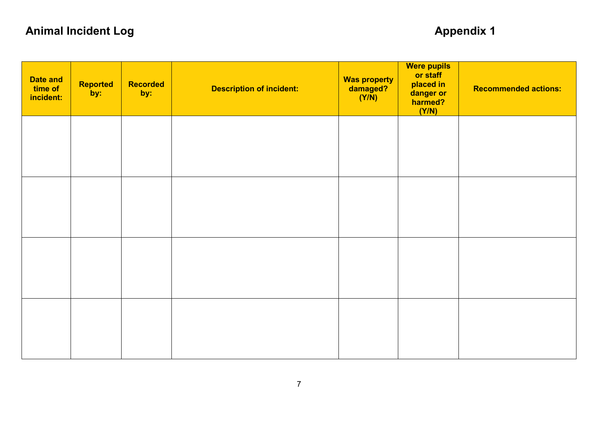## **Animal Incident Log Appendix 1**

<span id="page-9-0"></span>

| <b>Date and</b><br>time of<br>incident: | Reported<br>by: | Recorded<br>by: | <b>Description of incident:</b> | <b>Was property</b><br>damaged?<br>(Y/N) | <b>Were pupils</b><br>or staff<br>placed in<br>danger or<br>harmed?<br>(Y/N) | <b>Recommended actions:</b> |
|-----------------------------------------|-----------------|-----------------|---------------------------------|------------------------------------------|------------------------------------------------------------------------------|-----------------------------|
|                                         |                 |                 |                                 |                                          |                                                                              |                             |
|                                         |                 |                 |                                 |                                          |                                                                              |                             |
|                                         |                 |                 |                                 |                                          |                                                                              |                             |
|                                         |                 |                 |                                 |                                          |                                                                              |                             |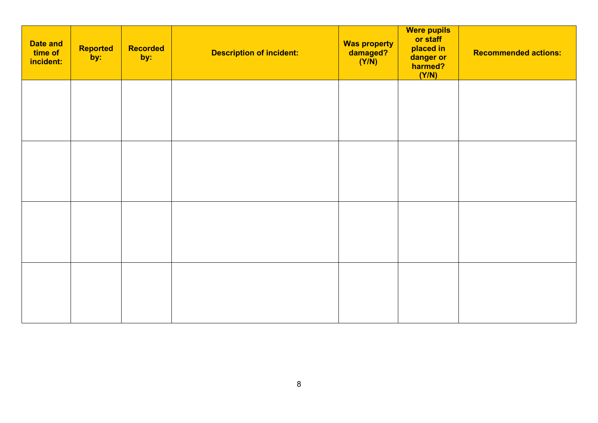| Date and<br>time of<br>incident: | <b>Reported</b><br>by: | <b>Recorded</b><br>by: | <b>Description of incident:</b> | <b>Was property</b><br>damaged?<br>(Y/N) | <b>Were pupils</b><br>or staff<br>placed in<br>danger or<br>harmed?<br>(Y/N) | <b>Recommended actions:</b> |
|----------------------------------|------------------------|------------------------|---------------------------------|------------------------------------------|------------------------------------------------------------------------------|-----------------------------|
|                                  |                        |                        |                                 |                                          |                                                                              |                             |
|                                  |                        |                        |                                 |                                          |                                                                              |                             |
|                                  |                        |                        |                                 |                                          |                                                                              |                             |
|                                  |                        |                        |                                 |                                          |                                                                              |                             |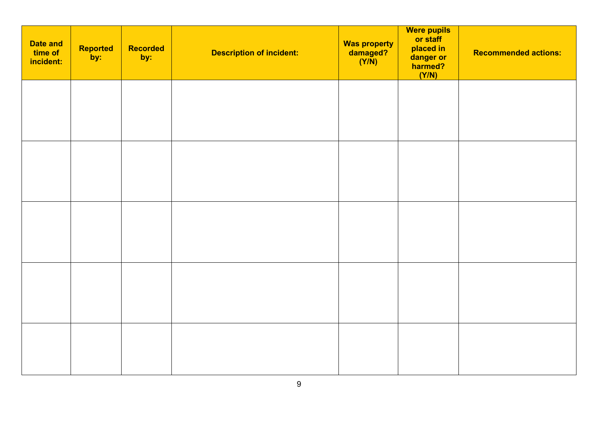| <b>Date and</b><br>time of<br>incident: | Reported<br>by: | Recorded<br>by: | <b>Description of incident:</b> | Was property<br>damaged?<br>(Y/N) | Were pupils<br>or staff<br>placed in<br>danger or<br>harmed?<br>(Y/N) | <b>Recommended actions:</b> |
|-----------------------------------------|-----------------|-----------------|---------------------------------|-----------------------------------|-----------------------------------------------------------------------|-----------------------------|
|                                         |                 |                 |                                 |                                   |                                                                       |                             |
|                                         |                 |                 |                                 |                                   |                                                                       |                             |
|                                         |                 |                 |                                 |                                   |                                                                       |                             |
|                                         |                 |                 |                                 |                                   |                                                                       |                             |
|                                         |                 |                 |                                 |                                   |                                                                       |                             |